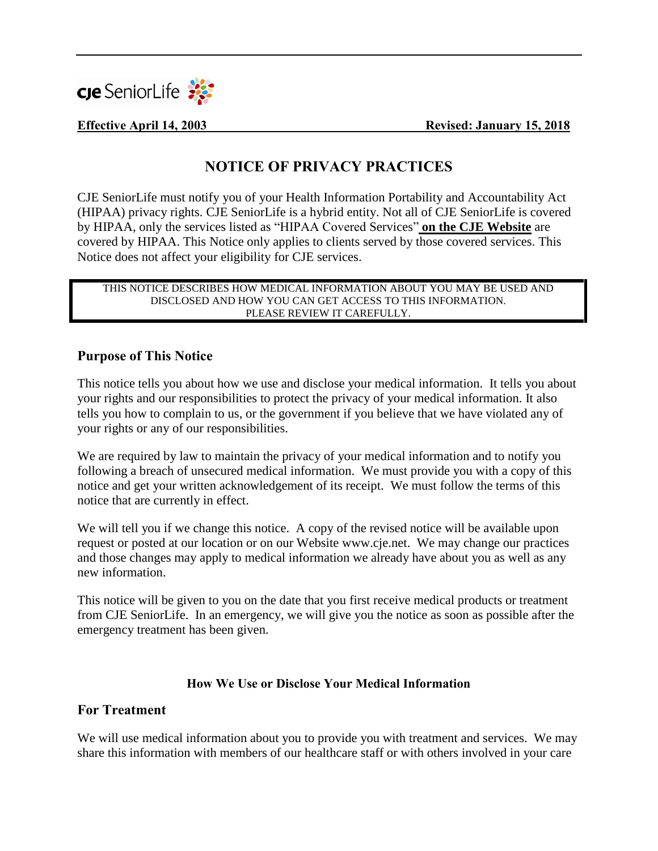

**Effective April 14, 2003 Revised: January 15, 2018**

# **NOTICE OF PRIVACY PRACTICES**

CJE SeniorLife must notify you of your Health Information Portability and Accountability Act (HIPAA) privacy rights. CJE SeniorLife is a hybrid entity. Not all of CJE SeniorLife is covered by HIPAA, only the services listed as "HIPAA Covered Services" **on the CJE Website** are covered by HIPAA. This Notice only applies to clients served by those covered services. This Notice does not affect your eligibility for CJE services.

#### THIS NOTICE DESCRIBES HOW MEDICAL INFORMATION ABOUT YOU MAY BE USED AND DISCLOSED AND HOW YOU CAN GET ACCESS TO THIS INFORMATION. PLEASE REVIEW IT CAREFULLY.

#### **Purpose of This Notice**

This notice tells you about how we use and disclose your medical information. It tells you about your rights and our responsibilities to protect the privacy of your medical information. It also tells you how to complain to us, or the government if you believe that we have violated any of your rights or any of our responsibilities.

We are required by law to maintain the privacy of your medical information and to notify you following a breach of unsecured medical information. We must provide you with a copy of this notice and get your written acknowledgement of its receipt. We must follow the terms of this notice that are currently in effect.

We will tell you if we change this notice. A copy of the revised notice will be available upon request or posted at our location or on our Website www.cje.net. We may change our practices and those changes may apply to medical information we already have about you as well as any new information.

This notice will be given to you on the date that you first receive medical products or treatment from CJE SeniorLife. In an emergency, we will give you the notice as soon as possible after the emergency treatment has been given.

#### **How We Use or Disclose Your Medical Information**

#### **For Treatment**

We will use medical information about you to provide you with treatment and services. We may share this information with members of our healthcare staff or with others involved in your care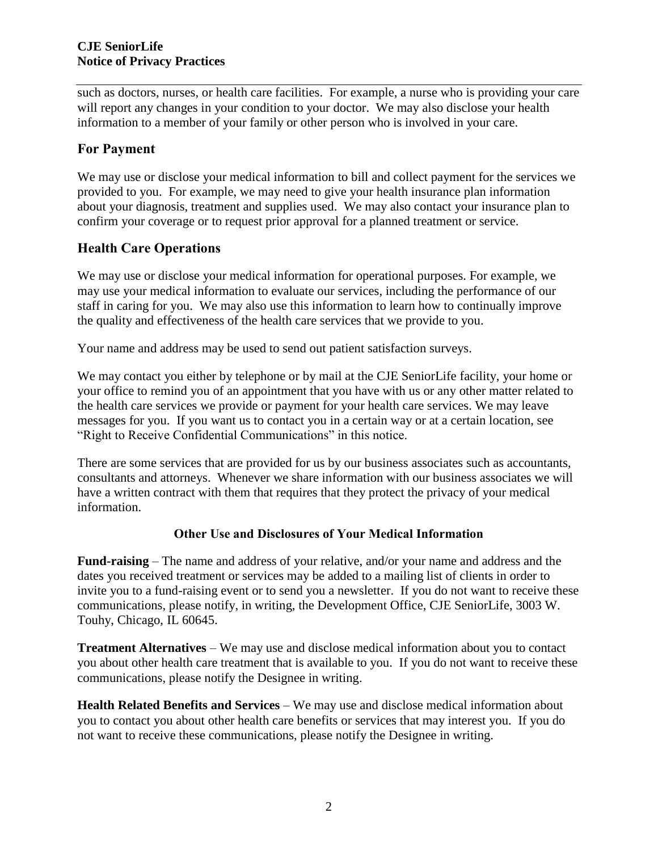such as doctors, nurses, or health care facilities. For example, a nurse who is providing your care will report any changes in your condition to your doctor. We may also disclose your health information to a member of your family or other person who is involved in your care.

### **For Payment**

We may use or disclose your medical information to bill and collect payment for the services we provided to you. For example, we may need to give your health insurance plan information about your diagnosis, treatment and supplies used. We may also contact your insurance plan to confirm your coverage or to request prior approval for a planned treatment or service.

### **Health Care Operations**

We may use or disclose your medical information for operational purposes. For example, we may use your medical information to evaluate our services, including the performance of our staff in caring for you. We may also use this information to learn how to continually improve the quality and effectiveness of the health care services that we provide to you.

Your name and address may be used to send out patient satisfaction surveys.

We may contact you either by telephone or by mail at the CJE SeniorLife facility, your home or your office to remind you of an appointment that you have with us or any other matter related to the health care services we provide or payment for your health care services. We may leave messages for you. If you want us to contact you in a certain way or at a certain location, see "Right to Receive Confidential Communications" in this notice.

There are some services that are provided for us by our business associates such as accountants, consultants and attorneys. Whenever we share information with our business associates we will have a written contract with them that requires that they protect the privacy of your medical information.

#### **Other Use and Disclosures of Your Medical Information**

**Fund-raising** – The name and address of your relative, and/or your name and address and the dates you received treatment or services may be added to a mailing list of clients in order to invite you to a fund-raising event or to send you a newsletter. If you do not want to receive these communications, please notify, in writing, the Development Office, CJE SeniorLife, 3003 W. Touhy, Chicago, IL 60645.

**Treatment Alternatives** – We may use and disclose medical information about you to contact you about other health care treatment that is available to you. If you do not want to receive these communications, please notify the Designee in writing.

**Health Related Benefits and Services** – We may use and disclose medical information about you to contact you about other health care benefits or services that may interest you. If you do not want to receive these communications, please notify the Designee in writing.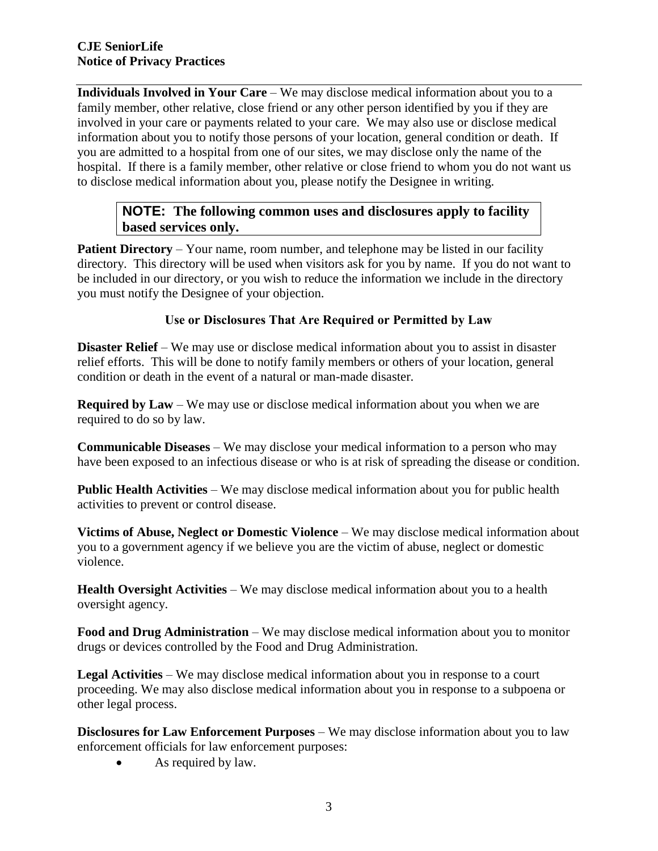**Individuals Involved in Your Care** – We may disclose medical information about you to a family member, other relative, close friend or any other person identified by you if they are involved in your care or payments related to your care. We may also use or disclose medical information about you to notify those persons of your location, general condition or death. If you are admitted to a hospital from one of our sites, we may disclose only the name of the hospital. If there is a family member, other relative or close friend to whom you do not want us to disclose medical information about you, please notify the Designee in writing.

## **NOTE: The following common uses and disclosures apply to facility based services only.**

**Patient Directory** – Your name, room number, and telephone may be listed in our facility directory. This directory will be used when visitors ask for you by name. If you do not want to be included in our directory, or you wish to reduce the information we include in the directory you must notify the Designee of your objection.

#### **Use or Disclosures That Are Required or Permitted by Law**

**Disaster Relief** – We may use or disclose medical information about you to assist in disaster relief efforts. This will be done to notify family members or others of your location, general condition or death in the event of a natural or man-made disaster.

**Required by Law** – We may use or disclose medical information about you when we are required to do so by law.

**Communicable Diseases** – We may disclose your medical information to a person who may have been exposed to an infectious disease or who is at risk of spreading the disease or condition.

**Public Health Activities** – We may disclose medical information about you for public health activities to prevent or control disease.

**Victims of Abuse, Neglect or Domestic Violence** – We may disclose medical information about you to a government agency if we believe you are the victim of abuse, neglect or domestic violence.

**Health Oversight Activities** – We may disclose medical information about you to a health oversight agency.

**Food and Drug Administration** – We may disclose medical information about you to monitor drugs or devices controlled by the Food and Drug Administration.

**Legal Activities** – We may disclose medical information about you in response to a court proceeding. We may also disclose medical information about you in response to a subpoena or other legal process.

**Disclosures for Law Enforcement Purposes** – We may disclose information about you to law enforcement officials for law enforcement purposes:

• As required by law.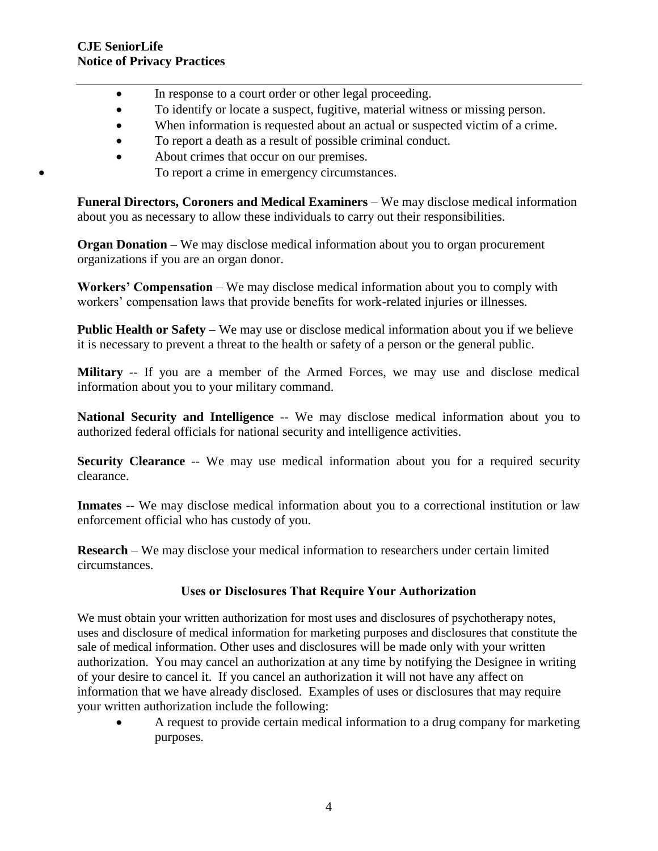- In response to a court order or other legal proceeding.
- To identify or locate a suspect, fugitive, material witness or missing person.
- When information is requested about an actual or suspected victim of a crime.
- To report a death as a result of possible criminal conduct.
- About crimes that occur on our premises.
	- To report a crime in emergency circumstances.

**Funeral Directors, Coroners and Medical Examiners** – We may disclose medical information about you as necessary to allow these individuals to carry out their responsibilities.

**Organ Donation** – We may disclose medical information about you to organ procurement organizations if you are an organ donor.

**Workers' Compensation** – We may disclose medical information about you to comply with workers' compensation laws that provide benefits for work-related injuries or illnesses.

**Public Health or Safety** – We may use or disclose medical information about you if we believe it is necessary to prevent a threat to the health or safety of a person or the general public.

**Military** -- If you are a member of the Armed Forces, we may use and disclose medical information about you to your military command.

**National Security and Intelligence** -- We may disclose medical information about you to authorized federal officials for national security and intelligence activities.

**Security Clearance** -- We may use medical information about you for a required security clearance.

**Inmates** -- We may disclose medical information about you to a correctional institution or law enforcement official who has custody of you.

**Research** – We may disclose your medical information to researchers under certain limited circumstances.

### **Uses or Disclosures That Require Your Authorization**

We must obtain your written authorization for most uses and disclosures of psychotherapy notes, uses and disclosure of medical information for marketing purposes and disclosures that constitute the sale of medical information. Other uses and disclosures will be made only with your written authorization. You may cancel an authorization at any time by notifying the Designee in writing of your desire to cancel it. If you cancel an authorization it will not have any affect on information that we have already disclosed. Examples of uses or disclosures that may require your written authorization include the following:

 A request to provide certain medical information to a drug company for marketing purposes.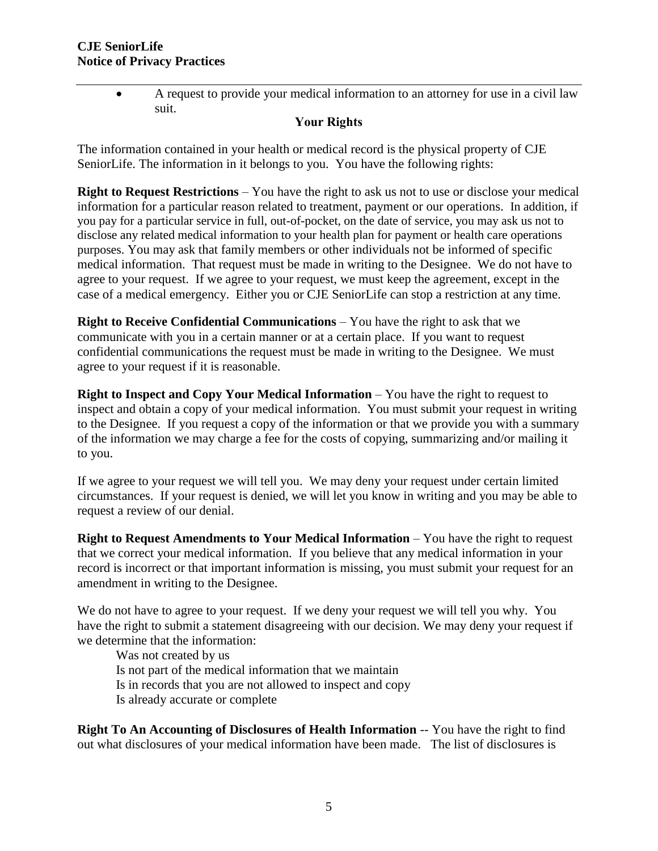A request to provide your medical information to an attorney for use in a civil law suit.

#### **Your Rights**

The information contained in your health or medical record is the physical property of CJE SeniorLife. The information in it belongs to you. You have the following rights:

**Right to Request Restrictions** – You have the right to ask us not to use or disclose your medical information for a particular reason related to treatment, payment or our operations. In addition, if you pay for a particular service in full, out-of-pocket, on the date of service, you may ask us not to disclose any related medical information to your health plan for payment or health care operations purposes. You may ask that family members or other individuals not be informed of specific medical information. That request must be made in writing to the Designee. We do not have to agree to your request. If we agree to your request, we must keep the agreement, except in the case of a medical emergency. Either you or CJE SeniorLife can stop a restriction at any time.

**Right to Receive Confidential Communications** – You have the right to ask that we communicate with you in a certain manner or at a certain place. If you want to request confidential communications the request must be made in writing to the Designee. We must agree to your request if it is reasonable.

**Right to Inspect and Copy Your Medical Information** – You have the right to request to inspect and obtain a copy of your medical information. You must submit your request in writing to the Designee. If you request a copy of the information or that we provide you with a summary of the information we may charge a fee for the costs of copying, summarizing and/or mailing it to you.

If we agree to your request we will tell you. We may deny your request under certain limited circumstances. If your request is denied, we will let you know in writing and you may be able to request a review of our denial.

**Right to Request Amendments to Your Medical Information** – You have the right to request that we correct your medical information. If you believe that any medical information in your record is incorrect or that important information is missing, you must submit your request for an amendment in writing to the Designee.

We do not have to agree to your request. If we deny your request we will tell you why. You have the right to submit a statement disagreeing with our decision. We may deny your request if we determine that the information:

Was not created by us Is not part of the medical information that we maintain Is in records that you are not allowed to inspect and copy Is already accurate or complete

**Right To An Accounting of Disclosures of Health Information** -- You have the right to find out what disclosures of your medical information have been made. The list of disclosures is